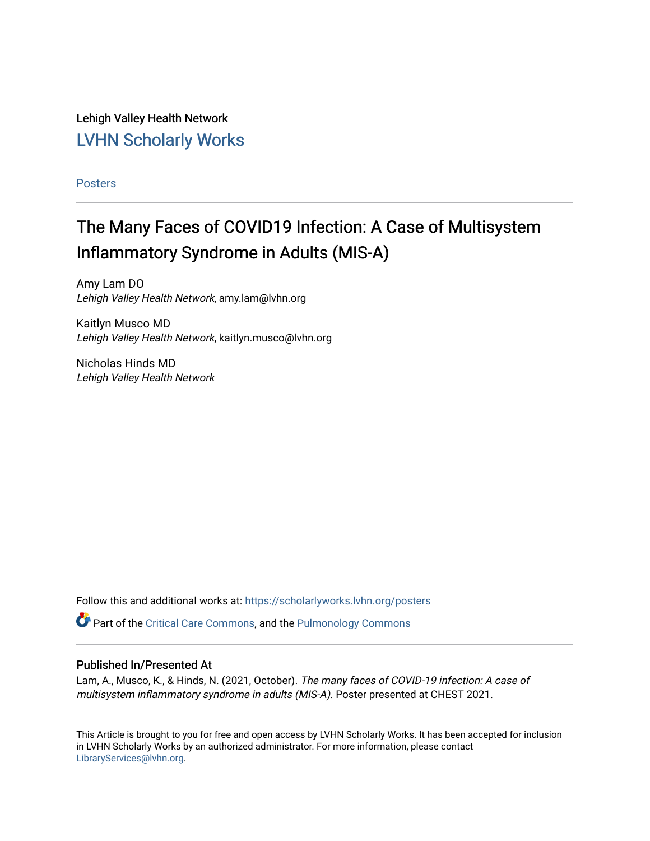Lehigh Valley Health Network [LVHN Scholarly Works](https://scholarlyworks.lvhn.org/)

[Posters](https://scholarlyworks.lvhn.org/posters) 

# The Many Faces of COVID19 Infection: A Case of Multisystem Inflammatory Syndrome in Adults (MIS-A)

Amy Lam DO Lehigh Valley Health Network, amy.lam@lvhn.org

Kaitlyn Musco MD Lehigh Valley Health Network, kaitlyn.musco@lvhn.org

Nicholas Hinds MD Lehigh Valley Health Network

Follow this and additional works at: [https://scholarlyworks.lvhn.org/posters](https://scholarlyworks.lvhn.org/posters?utm_source=scholarlyworks.lvhn.org%2Fposters%2F11&utm_medium=PDF&utm_campaign=PDFCoverPages) 

Part of the [Critical Care Commons,](https://network.bepress.com/hgg/discipline/1226?utm_source=scholarlyworks.lvhn.org%2Fposters%2F11&utm_medium=PDF&utm_campaign=PDFCoverPages) and the [Pulmonology Commons](https://network.bepress.com/hgg/discipline/1363?utm_source=scholarlyworks.lvhn.org%2Fposters%2F11&utm_medium=PDF&utm_campaign=PDFCoverPages) 

## Published In/Presented At

Lam, A., Musco, K., & Hinds, N. (2021, October). The many faces of COVID-19 infection: A case of multisystem inflammatory syndrome in adults (MIS-A). Poster presented at CHEST 2021.

This Article is brought to you for free and open access by LVHN Scholarly Works. It has been accepted for inclusion in LVHN Scholarly Works by an authorized administrator. For more information, please contact [LibraryServices@lvhn.org](mailto:LibraryServices@lvhn.org).